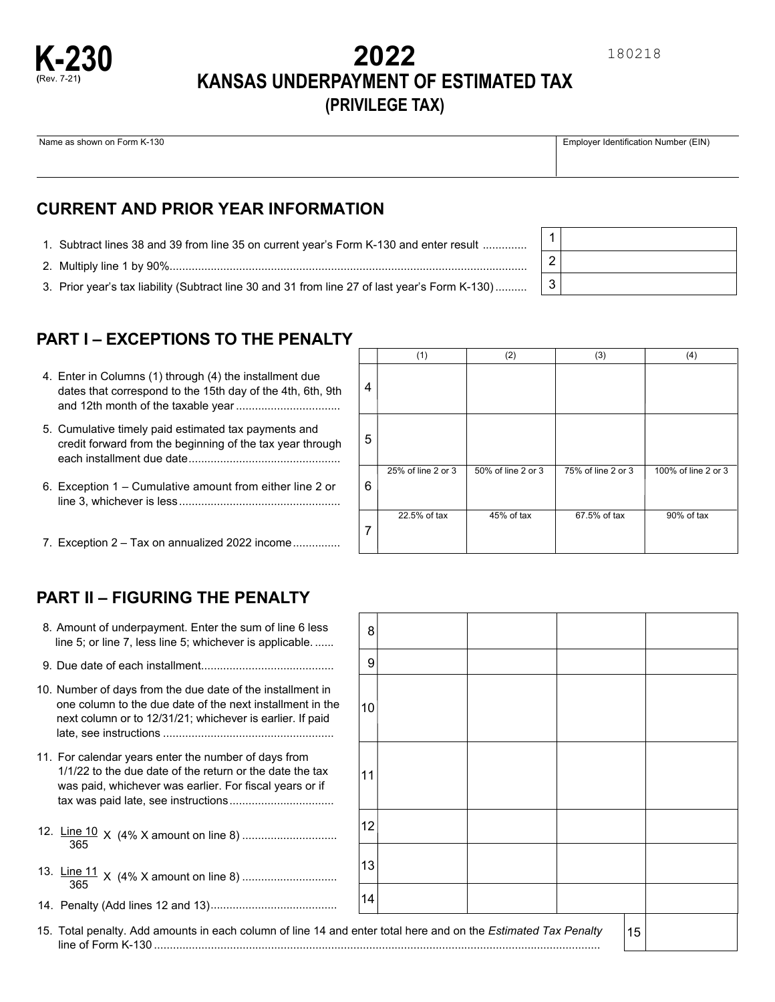# **2022 KANSAS UNDERPAYMENT OF ESTIMATED TAX (PRIVILEGE TAX)**

Name as shown on Form K-130 **Employer Identification Number (EIN)** 

**K-230 (**Rev. 7-21**)**

### **CURRENT AND PRIOR YEAR INFORMATION**

- .............. 1. Subtract lines 38 and 39 from line 35 on current year's Form K-130 and enter result
- ................................................................................................................. 2. Multiply line 1 by 90%

.......... 3. Prior year's tax liability (Subtract line 30 and 31 from line 27 of last year's Form K-130)

## **PART I – EXCEPTIONS TO THE PENALTY**

| 4. Enter in Columns (1) through (4) the installment due    |
|------------------------------------------------------------|
| dates that correspond to the 15th day of the 4th, 6th, 9th |
|                                                            |

- ................................................ each installment due date 5. Cumulative timely paid estimated tax payments and credit forward from the beginning of the tax year through
- ................................................... line 3, whichever is less 6. Exception 1 – Cumulative amount from either line 2 or
- ............... 7. Exception 2 Tax on annualized 2022 income

|                | (1)                | (2)                | (3)                | (4)                 |
|----------------|--------------------|--------------------|--------------------|---------------------|
| $\overline{4}$ |                    |                    |                    |                     |
| 5              |                    |                    |                    |                     |
| 6              | 25% of line 2 or 3 | 50% of line 2 or 3 | 75% of line 2 or 3 | 100% of line 2 or 3 |
| 7              | 22.5% of tax       | 45% of tax         | 67.5% of tax       | 90% of tax          |

1 2 3

## **PART II – FIGURING THE PENALTY**

- . ...... line 5; or line 7, less line 5; whichever is applicable 8. Amount of underpayment. Enter the sum of line 6 less
- .......................................... 9. Due date of each installment
- ...................................................... late, see instructions 10. Number of days from the due date of the installment in one column to the due date of the next installment in the next column or to 12/31/21; whichever is earlier. If paid
- ................................. tax was paid late, see instructions 11. For calendar years enter the number of days from 1/1/22 to the due date of the return or the date the tax was paid, whichever was earlier. For fiscal years or if
- 12. <u>Line 10</u> x (4% X amount on line 8) .................................<br>365
- .............................. 13. Line 11 X (4% X amount on line 8) <sup>365</sup>
- ........................................ 14. Penalty (Add lines 12 and 13)

| 8    |                                                  |  |  |  |
|------|--------------------------------------------------|--|--|--|
| 9    |                                                  |  |  |  |
| $10$ |                                                  |  |  |  |
| 11   |                                                  |  |  |  |
| 12   |                                                  |  |  |  |
| 13   |                                                  |  |  |  |
| 14   |                                                  |  |  |  |
|      | nter total here and on the Estimated Tax Penalty |  |  |  |

15. Total penalty. Add amounts in each column of line 14 and en line of Form K-130 .............................................................................................................................................